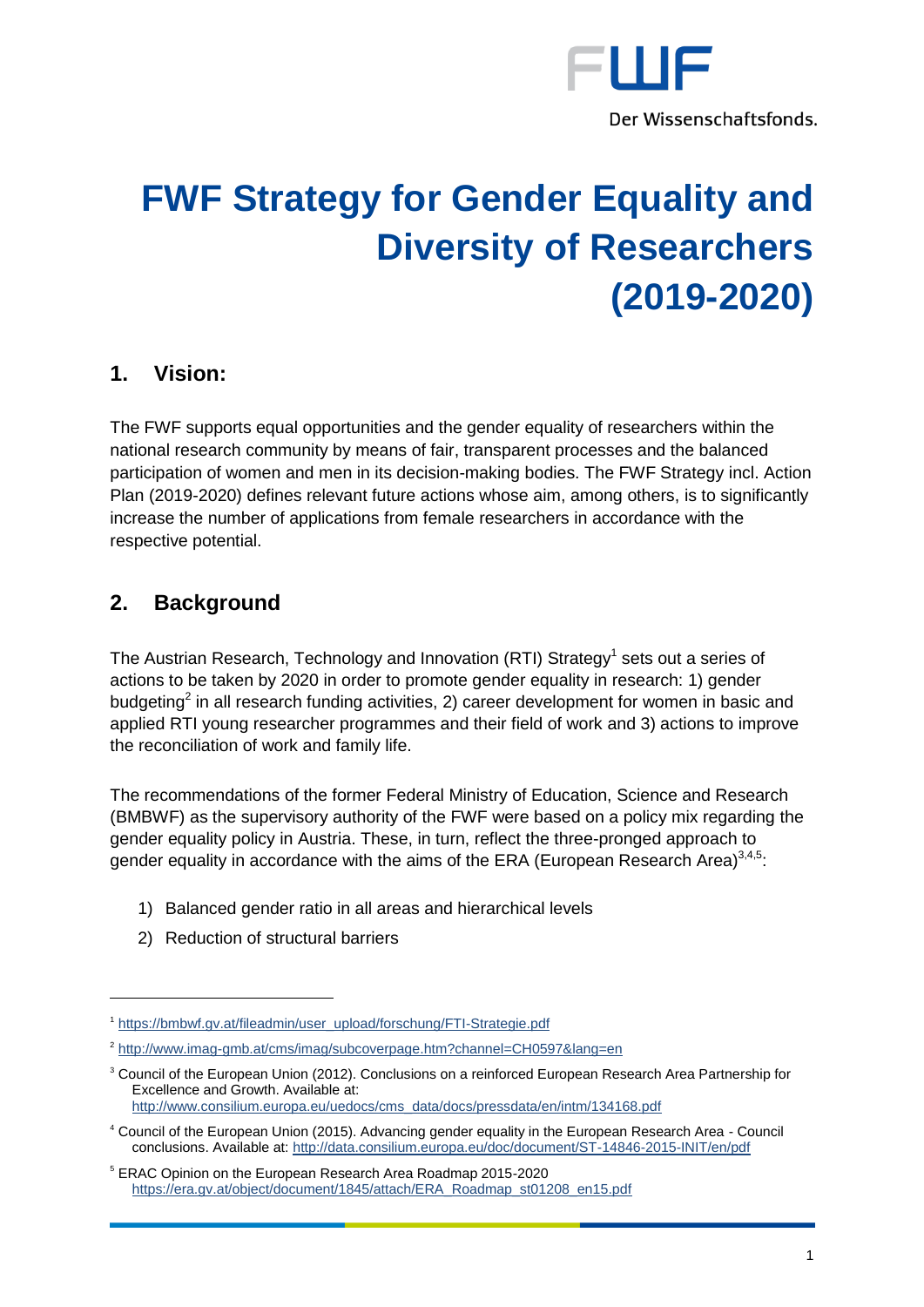

# **FWF Strategy for Gender Equality and Diversity of Researchers (2019-2020)**

#### **1. Vision:**

The FWF supports equal opportunities and the gender equality of researchers within the national research community by means of fair, transparent processes and the balanced participation of women and men in its decision-making bodies. The FWF Strategy incl. Action Plan (2019-2020) defines relevant future actions whose aim, among others, is to significantly increase the number of applications from female researchers in accordance with the respective potential.

### **2. Background**

 $\overline{a}$ 

The Austrian Research, Technology and Innovation (RTI) Strategy<sup>1</sup> sets out a series of actions to be taken by 2020 in order to promote gender equality in research: 1) gender budgeting<sup>2</sup> in all research funding activities, 2) career development for women in basic and applied RTI young researcher programmes and their field of work and 3) actions to improve the reconciliation of work and family life.

The recommendations of the former Federal Ministry of Education, Science and Research (BMBWF) as the supervisory authority of the FWF were based on a policy mix regarding the gender equality policy in Austria. These, in turn, reflect the three-pronged approach to gender equality in accordance with the aims of the ERA (European Research Area) $^{3,4,5}$ :

- 1) Balanced gender ratio in all areas and hierarchical levels
- 2) Reduction of structural barriers

<sup>1</sup> [https://bmbwf.gv.at/fileadmin/user\\_upload/forschung/FTI-Strategie.pdf](https://bmbwf.gv.at/fileadmin/user_upload/forschung/FTI-Strategie.pdf)

<sup>&</sup>lt;sup>2</sup> <http://www.imag-gmb.at/cms/imag/subcoverpage.htm?channel=CH0597&lang=en>

<sup>&</sup>lt;sup>3</sup> Council of the European Union (2012). Conclusions on a reinforced European Research Area Partnership for Excellence and Growth. Available at: [http://www.consilium.europa.eu/uedocs/cms\\_data/docs/pressdata/en/intm/134168.pdf](http://www.consilium.europa.eu/uedocs/cms_data/docs/pressdata/en/intm/134168.pdf)

<sup>4</sup> Council of the European Union (2015). Advancing gender equality in the European Research Area - Council conclusions. Available at[: http://data.consilium.europa.eu/doc/document/ST-14846-2015-INIT/en/pdf](http://data.consilium.europa.eu/doc/document/ST-14846-2015-INIT/en/pdf)

<sup>5</sup> ERAC Opinion on the European Research Area Roadmap 2015-2020 [https://era.gv.at/object/document/1845/attach/ERA\\_Roadmap\\_st01208\\_en15.pdf](https://era.gv.at/object/document/1845/attach/ERA_Roadmap_st01208_en15.pdf)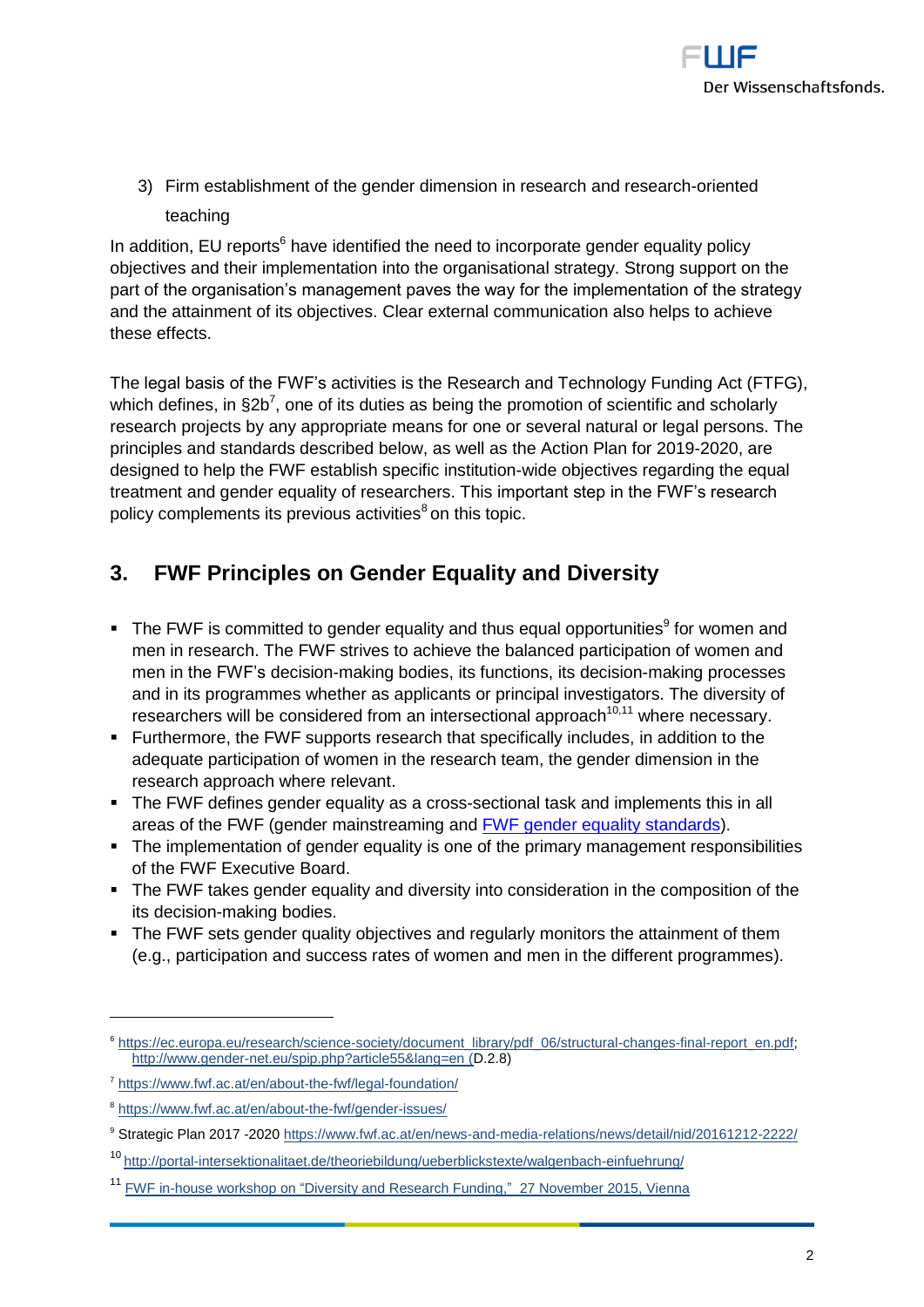

3) Firm establishment of the gender dimension in research and research-oriented teaching

In addition, EU reports<sup>6</sup> have identified the need to incorporate gender equality policy objectives and their implementation into the organisational strategy. Strong support on the part of the organisation's management paves the way for the implementation of the strategy and the attainment of its objectives. Clear external communication also helps to achieve these effects.

The legal basis of the FWF's activities is the Research and Technology Funding Act (FTFG), which defines, in  $\S 2b^7$ , one of its duties as being the promotion of scientific and scholarly research projects by any appropriate means for one or several natural or legal persons. The principles and standards described below, as well as the Action Plan for 2019-2020, are designed to help the FWF establish specific institution-wide objectives regarding the equal treatment and gender equality of researchers. This important step in the FWF's research policy complements its previous activities<sup>8</sup> on this topic.

### **3. FWF Principles on Gender Equality and Diversity**

- $\blacksquare$  The FWF is committed to gender equality and thus equal opportunities<sup>9</sup> for women and men in research. The FWF strives to achieve the balanced participation of women and men in the FWF's decision-making bodies, its functions, its decision-making processes and in its programmes whether as applicants or principal investigators. The diversity of researchers will be considered from an intersectional approach $10,11$  where necessary.
- Furthermore, the FWF supports research that specifically includes, in addition to the adequate participation of women in the research team, the gender dimension in the research approach where relevant.
- The FWF defines gender equality as a cross-sectional task and implements this in all areas of the FWF (gender mainstreaming and FWF [gender equality standards\)](https://www.fwf.ac.at/en/about-the-fwf/gender-issues/fix-the-institutions/fix-the-institutions-detail/).
- The implementation of gender equality is one of the primary management responsibilities of the FWF Executive Board.
- The FWF takes gender equality and diversity into consideration in the composition of the its decision-making bodies.
- The FWF sets gender quality objectives and regularly monitors the attainment of them (e.g., participation and success rates of women and men in the different programmes).

<sup>6</sup> [https://ec.europa.eu/research/science-society/document\\_library/pdf\\_06/structural-changes-final-report\\_en.pdf;](https://ec.europa.eu/research/science-society/document_library/pdf_06/structural-changes-final-report_en.pdf) <http://www.gender-net.eu/spip.php?article55&lang=en> (D.2.8)

<sup>7</sup> <https://www.fwf.ac.at/en/about-the-fwf/legal-foundation/>

<sup>&</sup>lt;sup>8</sup> <https://www.fwf.ac.at/en/about-the-fwf/gender-issues/>

<sup>9</sup> Strategic Plan 2017 -202[0 https://www.fwf.ac.at/en/news-and-media-relations/news/detail/nid/20161212-2222/](https://www.fwf.ac.at/en/news-and-media-relations/news/detail/nid/20161212-2222/)

<sup>10</sup> <http://portal-intersektionalitaet.de/theoriebildung/ueberblickstexte/walgenbach-einfuehrung/>

<sup>&</sup>lt;sup>11</sup> FWF in-house workshop on "Diversity and Research Funding," 27 November 2015, Vienna